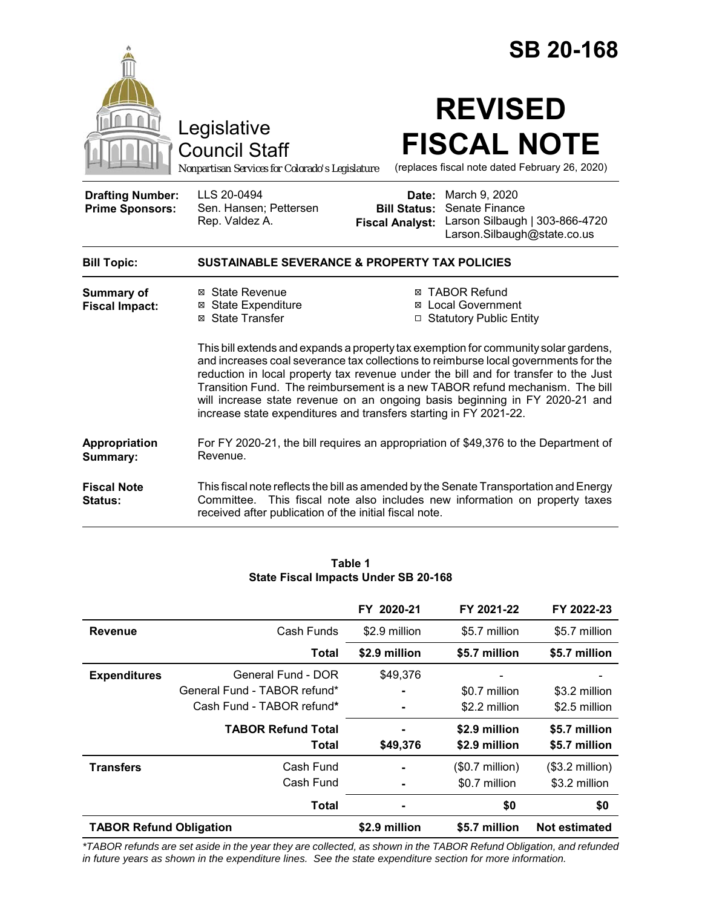|                                                   |                                                                                        | <b>SB 20-168</b>                                                                                                                                                                                                                                                                                                                                                                                                                                                                                             |
|---------------------------------------------------|----------------------------------------------------------------------------------------|--------------------------------------------------------------------------------------------------------------------------------------------------------------------------------------------------------------------------------------------------------------------------------------------------------------------------------------------------------------------------------------------------------------------------------------------------------------------------------------------------------------|
|                                                   | Legislative<br><b>Council Staff</b><br>Nonpartisan Services for Colorado's Legislature | <b>REVISED</b><br><b>FISCAL NOTE</b><br>(replaces fiscal note dated February 26, 2020)                                                                                                                                                                                                                                                                                                                                                                                                                       |
| <b>Drafting Number:</b><br><b>Prime Sponsors:</b> | LLS 20-0494<br>Sen. Hansen; Pettersen<br>Rep. Valdez A.                                | <b>Date:</b> March 9, 2020<br>Senate Finance<br><b>Bill Status:</b><br>Larson Silbaugh   303-866-4720<br><b>Fiscal Analyst:</b><br>Larson.Silbaugh@state.co.us                                                                                                                                                                                                                                                                                                                                               |
| <b>Bill Topic:</b>                                |                                                                                        | <b>SUSTAINABLE SEVERANCE &amp; PROPERTY TAX POLICIES</b>                                                                                                                                                                                                                                                                                                                                                                                                                                                     |
| <b>Summary of</b><br><b>Fiscal Impact:</b>        | ⊠ State Revenue<br>⊠ State Expenditure<br>⊠ State Transfer                             | <b>⊠ TABOR Refund</b><br>⊠ Local Government<br>□ Statutory Public Entity<br>This bill extends and expands a property tax exemption for community solar gardens,<br>and increases coal severance tax collections to reimburse local governments for the<br>reduction in local property tax revenue under the bill and for transfer to the Just<br>Transition Fund. The reimbursement is a new TABOR refund mechanism. The bill<br>will increase state revenue on an ongoing basis beginning in FY 2020-21 and |
| Appropriation<br>Summary:                         | Revenue.                                                                               | increase state expenditures and transfers starting in FY 2021-22.<br>For FY 2020-21, the bill requires an appropriation of \$49,376 to the Department of                                                                                                                                                                                                                                                                                                                                                     |
| <b>Fiscal Note</b><br><b>Status:</b>              | Committee.<br>received after publication of the initial fiscal note.                   | This fiscal note reflects the bill as amended by the Senate Transportation and Energy<br>This fiscal note also includes new information on property taxes                                                                                                                                                                                                                                                                                                                                                    |

| Table 1                              |  |  |
|--------------------------------------|--|--|
| State Fiscal Impacts Under SB 20-168 |  |  |

|                                |                              | FY 2020-21    | FY 2021-22       | FY 2022-23           |
|--------------------------------|------------------------------|---------------|------------------|----------------------|
| <b>Revenue</b>                 | Cash Funds                   | \$2.9 million | \$5.7 million    | \$5.7 million        |
|                                | Total                        | \$2.9 million | \$5.7 million    | \$5.7 million        |
| <b>Expenditures</b>            | General Fund - DOR           | \$49,376      |                  |                      |
|                                | General Fund - TABOR refund* |               | \$0.7 million    | \$3.2 million        |
|                                | Cash Fund - TABOR refund*    |               | \$2.2 million    | \$2.5 million        |
|                                | <b>TABOR Refund Total</b>    |               | \$2.9 million    | \$5.7 million        |
|                                | <b>Total</b>                 | \$49,376      | \$2.9 million    | \$5.7 million        |
| <b>Transfers</b>               | Cash Fund                    |               | $($0.7$ million) | $($3.2$ million)     |
|                                | Cash Fund                    |               | \$0.7 million    | \$3.2 million        |
|                                | <b>Total</b>                 |               | \$0              | \$0                  |
| <b>TABOR Refund Obligation</b> |                              | \$2.9 million | \$5.7 million    | <b>Not estimated</b> |

*\*TABOR refunds are set aside in the year they are collected, as shown in the TABOR Refund Obligation, and refunded in future years as shown in the expenditure lines. See the state expenditure section for more information.*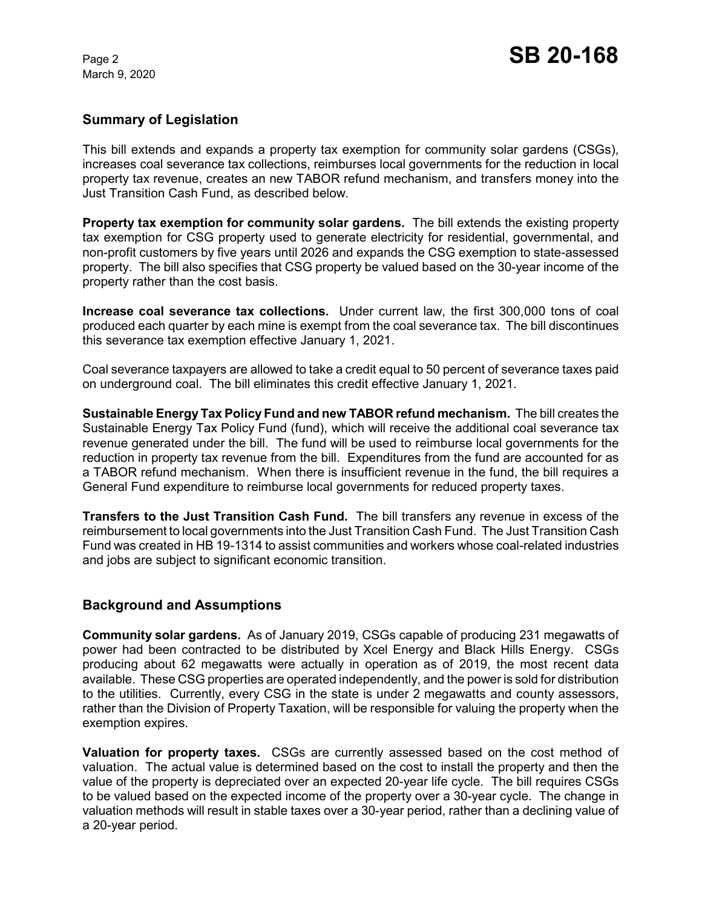## **Summary of Legislation**

This bill extends and expands a property tax exemption for community solar gardens (CSGs), increases coal severance tax collections, reimburses local governments for the reduction in local property tax revenue, creates an new TABOR refund mechanism, and transfers money into the Just Transition Cash Fund, as described below.

**Property tax exemption for community solar gardens.** The bill extends the existing property tax exemption for CSG property used to generate electricity for residential, governmental, and non-profit customers by five years until 2026 and expands the CSG exemption to state-assessed property. The bill also specifies that CSG property be valued based on the 30-year income of the property rather than the cost basis.

**Increase coal severance tax collections.** Under current law, the first 300,000 tons of coal produced each quarter by each mine is exempt from the coal severance tax. The bill discontinues this severance tax exemption effective January 1, 2021.

Coal severance taxpayers are allowed to take a credit equal to 50 percent of severance taxes paid on underground coal. The bill eliminates this credit effective January 1, 2021.

**Sustainable Energy Tax Policy Fund and new TABOR refund mechanism.** The bill creates the Sustainable Energy Tax Policy Fund (fund), which will receive the additional coal severance tax revenue generated under the bill. The fund will be used to reimburse local governments for the reduction in property tax revenue from the bill. Expenditures from the fund are accounted for as a TABOR refund mechanism. When there is insufficient revenue in the fund, the bill requires a General Fund expenditure to reimburse local governments for reduced property taxes.

**Transfers to the Just Transition Cash Fund.** The bill transfers any revenue in excess of the reimbursement to local governments into the Just Transition Cash Fund. The Just Transition Cash Fund was created in HB 19-1314 to assist communities and workers whose coal-related industries and jobs are subject to significant economic transition.

## **Background and Assumptions**

**Community solar gardens.** As of January 2019, CSGs capable of producing 231 megawatts of power had been contracted to be distributed by Xcel Energy and Black Hills Energy. CSGs producing about 62 megawatts were actually in operation as of 2019, the most recent data available. These CSG properties are operated independently, and the power is sold for distribution to the utilities. Currently, every CSG in the state is under 2 megawatts and county assessors, rather than the Division of Property Taxation, will be responsible for valuing the property when the exemption expires.

**Valuation for property taxes.** CSGs are currently assessed based on the cost method of valuation. The actual value is determined based on the cost to install the property and then the value of the property is depreciated over an expected 20-year life cycle. The bill requires CSGs to be valued based on the expected income of the property over a 30-year cycle. The change in valuation methods will result in stable taxes over a 30-year period, rather than a declining value of a 20-year period.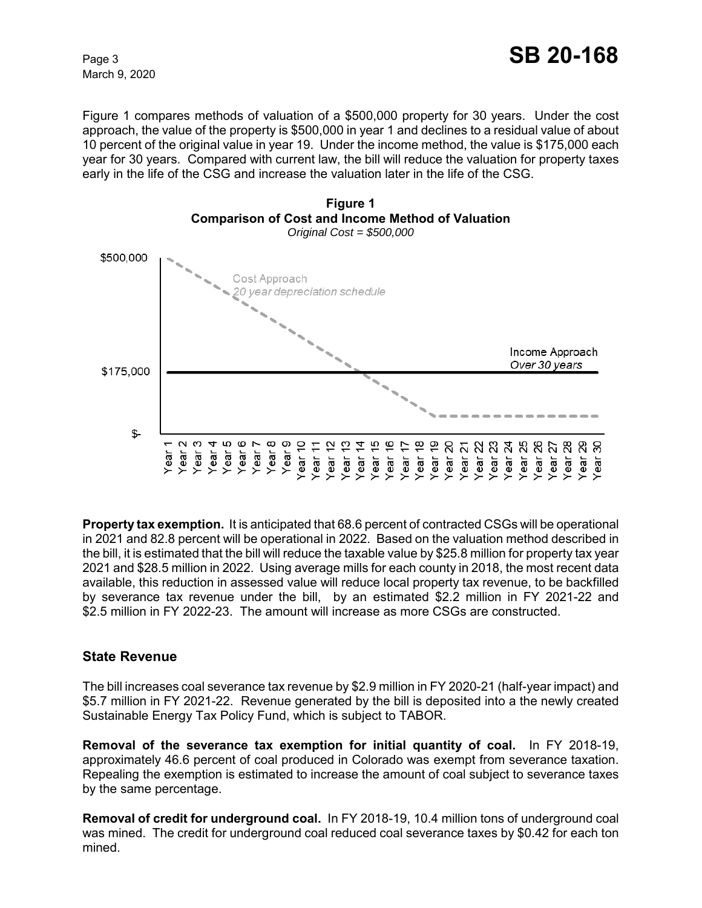Figure 1 compares methods of valuation of a \$500,000 property for 30 years. Under the cost approach, the value of the property is \$500,000 in year 1 and declines to a residual value of about 10 percent of the original value in year 19. Under the income method, the value is \$175,000 each year for 30 years. Compared with current law, the bill will reduce the valuation for property taxes early in the life of the CSG and increase the valuation later in the life of the CSG.



**Property tax exemption.** It is anticipated that 68.6 percent of contracted CSGs will be operational in 2021 and 82.8 percent will be operational in 2022. Based on the valuation method described in the bill, it is estimated that the bill will reduce the taxable value by \$25.8 million for property tax year 2021 and \$28.5 million in 2022. Using average mills for each county in 2018, the most recent data available, this reduction in assessed value will reduce local property tax revenue, to be backfilled by severance tax revenue under the bill, by an estimated \$2.2 million in FY 2021-22 and \$2.5 million in FY 2022-23. The amount will increase as more CSGs are constructed.

## **State Revenue**

The bill increases coal severance tax revenue by \$2.9 million in FY 2020-21 (half-year impact) and \$5.7 million in FY 2021-22. Revenue generated by the bill is deposited into a the newly created Sustainable Energy Tax Policy Fund, which is subject to TABOR.

**Removal of the severance tax exemption for initial quantity of coal.** In FY 2018-19, approximately 46.6 percent of coal produced in Colorado was exempt from severance taxation. Repealing the exemption is estimated to increase the amount of coal subject to severance taxes by the same percentage.

**Removal of credit for underground coal.** In FY 2018-19, 10.4 million tons of underground coal was mined. The credit for underground coal reduced coal severance taxes by \$0.42 for each ton mined.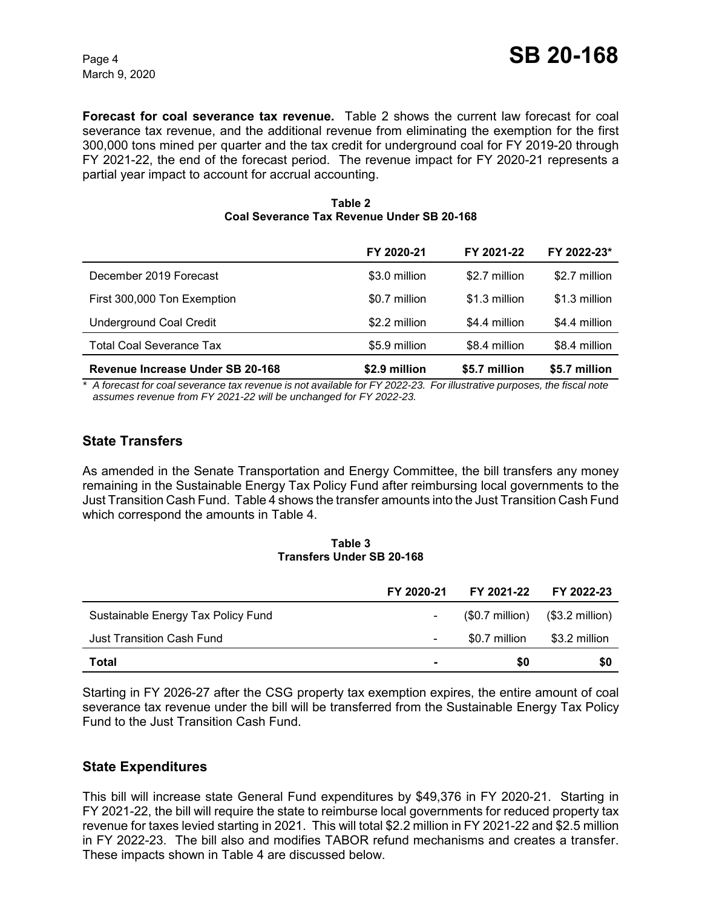**Forecast for coal severance tax revenue.** Table 2 shows the current law forecast for coal severance tax revenue, and the additional revenue from eliminating the exemption for the first 300,000 tons mined per quarter and the tax credit for underground coal for FY 2019-20 through FY 2021-22, the end of the forecast period. The revenue impact for FY 2020-21 represents a partial year impact to account for accrual accounting.

#### **Table 2 Coal Severance Tax Revenue Under SB 20-168**

|                                  | FY 2020-21    | FY 2021-22    | FY 2022-23*   |
|----------------------------------|---------------|---------------|---------------|
| December 2019 Forecast           | \$3.0 million | \$2.7 million | \$2.7 million |
| First 300,000 Ton Exemption      | \$0.7 million | \$1.3 million | \$1.3 million |
| <b>Underground Coal Credit</b>   | \$2.2 million | \$4.4 million | \$4.4 million |
| <b>Total Coal Severance Tax</b>  | \$5.9 million | \$8.4 million | \$8.4 million |
| Revenue Increase Under SB 20-168 | \$2.9 million | \$5.7 million | \$5.7 million |

*\* A forecast for coal severance tax revenue is not available for FY 2022-23. For illustrative purposes, the fiscal note assumes revenue from FY 2021-22 will be unchanged for FY 2022-23.*

# **State Transfers**

As amended in the Senate Transportation and Energy Committee, the bill transfers any money remaining in the Sustainable Energy Tax Policy Fund after reimbursing local governments to the Just Transition Cash Fund. Table 4 shows the transfer amounts into the Just Transition Cash Fund which correspond the amounts in Table 4.

#### **Table 3 Transfers Under SB 20-168**

|                                    | FY 2020-21               |                                                   | FY 2021-22 FY 2022-23 |
|------------------------------------|--------------------------|---------------------------------------------------|-----------------------|
| Sustainable Energy Tax Policy Fund |                          | $($0.7 \text{ million})$ $($3.2 \text{ million})$ |                       |
| Just Transition Cash Fund          | $\overline{\phantom{0}}$ | \$0.7 million                                     | \$3.2 million         |
| <b>Total</b>                       |                          | 50                                                | \$0                   |

Starting in FY 2026-27 after the CSG property tax exemption expires, the entire amount of coal severance tax revenue under the bill will be transferred from the Sustainable Energy Tax Policy Fund to the Just Transition Cash Fund.

# **State Expenditures**

This bill will increase state General Fund expenditures by \$49,376 in FY 2020-21. Starting in FY 2021-22, the bill will require the state to reimburse local governments for reduced property tax revenue for taxes levied starting in 2021. This will total \$2.2 million in FY 2021-22 and \$2.5 million in FY 2022-23. The bill also and modifies TABOR refund mechanisms and creates a transfer. These impacts shown in Table 4 are discussed below.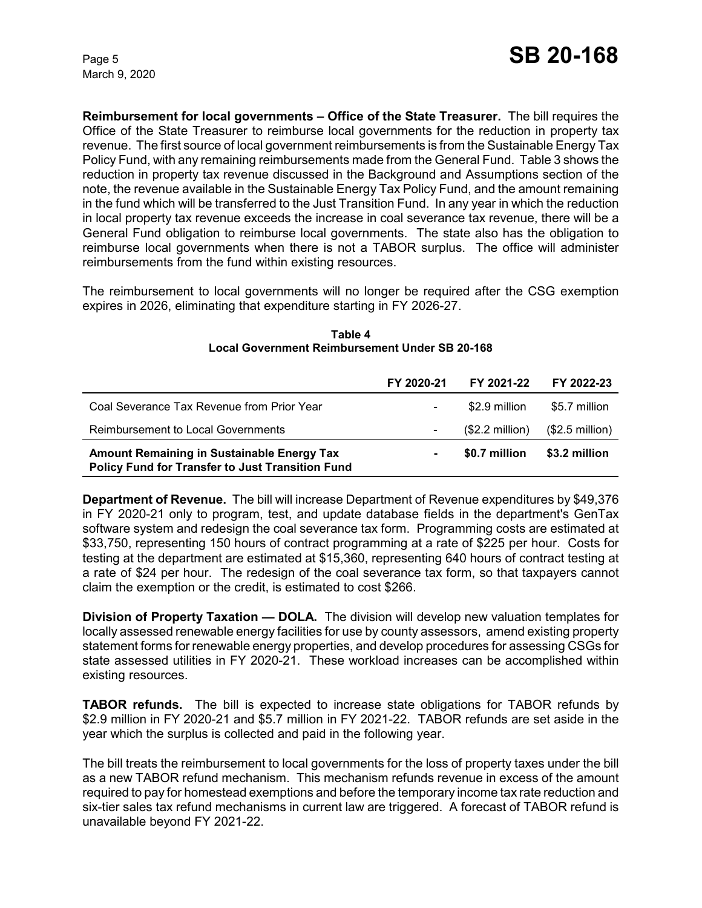**Reimbursement for local governments – Office of the State Treasurer.** The bill requires the Office of the State Treasurer to reimburse local governments for the reduction in property tax revenue. The first source of local government reimbursements is from the Sustainable Energy Tax Policy Fund, with any remaining reimbursements made from the General Fund. Table 3 shows the reduction in property tax revenue discussed in the Background and Assumptions section of the note, the revenue available in the Sustainable Energy Tax Policy Fund, and the amount remaining in the fund which will be transferred to the Just Transition Fund. In any year in which the reduction in local property tax revenue exceeds the increase in coal severance tax revenue, there will be a General Fund obligation to reimburse local governments. The state also has the obligation to reimburse local governments when there is not a TABOR surplus. The office will administer reimbursements from the fund within existing resources.

The reimbursement to local governments will no longer be required after the CSG exemption expires in 2026, eliminating that expenditure starting in FY 2026-27.

|                                                                                                       | FY 2020-21 | FY 2021-22      | FY 2022-23       |
|-------------------------------------------------------------------------------------------------------|------------|-----------------|------------------|
| Coal Severance Tax Revenue from Prior Year                                                            |            | \$2.9 million   | \$5.7 million    |
| Reimbursement to Local Governments                                                                    |            | $$2.2$ million) | $($2.5$ million) |
| <b>Amount Remaining in Sustainable Energy Tax</b><br>Policy Fund for Transfer to Just Transition Fund |            | \$0.7 million   | \$3.2 million    |

#### **Table 4 Local Government Reimbursement Under SB 20-168**

**Department of Revenue.** The bill will increase Department of Revenue expenditures by \$49,376 in FY 2020-21 only to program, test, and update database fields in the department's GenTax software system and redesign the coal severance tax form. Programming costs are estimated at \$33,750, representing 150 hours of contract programming at a rate of \$225 per hour. Costs for testing at the department are estimated at \$15,360, representing 640 hours of contract testing at a rate of \$24 per hour. The redesign of the coal severance tax form, so that taxpayers cannot claim the exemption or the credit, is estimated to cost \$266.

**Division of Property Taxation — DOLA.** The division will develop new valuation templates for locally assessed renewable energy facilities for use by county assessors, amend existing property statement forms for renewable energy properties, and develop procedures for assessing CSGs for state assessed utilities in FY 2020-21. These workload increases can be accomplished within existing resources.

**TABOR refunds.** The bill is expected to increase state obligations for TABOR refunds by \$2.9 million in FY 2020-21 and \$5.7 million in FY 2021-22. TABOR refunds are set aside in the year which the surplus is collected and paid in the following year.

The bill treats the reimbursement to local governments for the loss of property taxes under the bill as a new TABOR refund mechanism. This mechanism refunds revenue in excess of the amount required to pay for homestead exemptions and before the temporary income tax rate reduction and six-tier sales tax refund mechanisms in current law are triggered. A forecast of TABOR refund is unavailable beyond FY 2021-22.